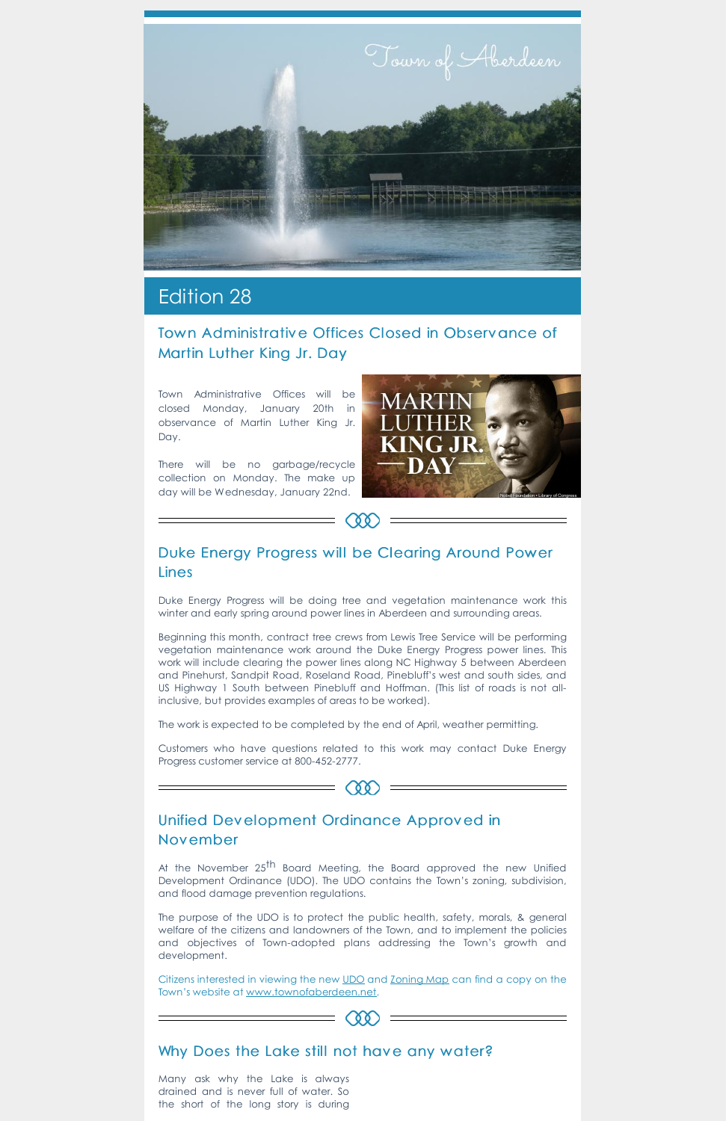

# Edition 28

## Town Administrative Offices Closed in Observance of Martin Luther King Jr. Day

Town Administrative Offices will be closed Monday, January 20th in observance of Martin Luther King Jr. Day.

# Duke Energy Progress will be Clearing Around Power Lines

w

There will be no garbage/recycle collection on Monday. The make up day will be Wednesday, January 22nd.



Duke Energy Progress will be doing tree and vegetation maintenance work this winter and early spring around power lines in Aberdeen and surrounding areas.

At the November 25<sup>th</sup> Board Meeting, the Board approved the new Unified Development Ordinance (UDO). The UDO contains the Town's zoning, subdivision, and flood damage prevention regulations.

Beginning this month, contract tree crews from Lewis Tree Service will be performing vegetation maintenance work around the Duke Energy Progress power lines. This work will include clearing the power lines along NC Highway 5 between Aberdeen and Pinehurst, Sandpit Road, Roseland Road, Pinebluff's west and south sides, and US Highway 1 South between Pinebluff and Hoffman. (This list of roads is not allinclusive, but provides examples of areas to be worked).

The work is expected to be completed by the end of April, weather permitting.

Customers who have questions related to this work may contact Duke Energy Progress customer service at 800-452-2777.



#### Unified Development Ordinance Approved in

# November

The purpose of the UDO is to protect the public health, safety, morals, & general welfare of the citizens and landowners of the Town, and to implement the policies and objectives of Town-adopted plans addressing the Town's growth and development.

Citizens interested in viewing the new [UDO](https://www.townofaberdeen.net/files/documents/UnifiedDevelopmentOrdinance135110104123019AM.pdf) and [Zoning](https://www.townofaberdeen.net/files/documents/ZoningMap135110534123019AM.pdf) Map can find a copy on the Town's website at [www.townofaberdeen.net.](https://www.townofaberdeen.net/documents.aspx?id=2296&catid=29)

# $(88)$

### Why Does the Lake still not have any water?

Many ask why the Lake is always drained and is never full of water. So the short of the long story is during